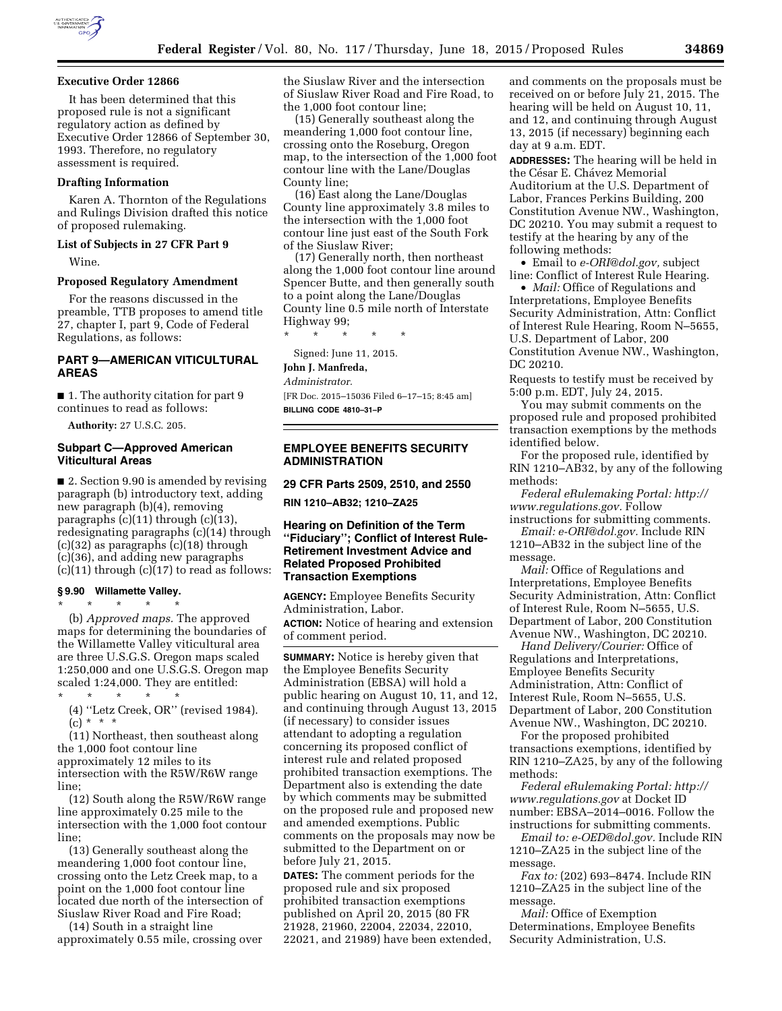

## **Executive Order 12866**

It has been determined that this proposed rule is not a significant regulatory action as defined by Executive Order 12866 of September 30, 1993. Therefore, no regulatory assessment is required.

### **Drafting Information**

Karen A. Thornton of the Regulations and Rulings Division drafted this notice of proposed rulemaking.

### **List of Subjects in 27 CFR Part 9**

Wine.

#### **Proposed Regulatory Amendment**

For the reasons discussed in the preamble, TTB proposes to amend title 27, chapter I, part 9, Code of Federal Regulations, as follows:

## **PART 9—AMERICAN VITICULTURAL AREAS**

■ 1. The authority citation for part 9 continues to read as follows:

**Authority:** 27 U.S.C. 205.

#### **Subpart C—Approved American Viticultural Areas**

■ 2. Section 9.90 is amended by revising paragraph (b) introductory text, adding new paragraph (b)(4), removing paragraphs (c)(11) through (c)(13), redesignating paragraphs (c)(14) through (c)(32) as paragraphs (c)(18) through (c)(36), and adding new paragraphs  $(c)(11)$  through  $(c)(17)$  to read as follows:

# **§ 9.90 Willamette Valley.**

\* \* \* \* \* (b) *Approved maps.* The approved maps for determining the boundaries of the Willamette Valley viticultural area are three U.S.G.S. Oregon maps scaled 1:250,000 and one U.S.G.S. Oregon map scaled 1:24,000. They are entitled: \* \* \* \* \*

(4) ''Letz Creek, OR'' (revised 1984).  $(c) * * * *$ 

(11) Northeast, then southeast along the 1,000 foot contour line approximately 12 miles to its intersection with the R5W/R6W range

line; (12) South along the R5W/R6W range line approximately 0.25 mile to the intersection with the 1,000 foot contour line;

(13) Generally southeast along the meandering 1,000 foot contour line, crossing onto the Letz Creek map, to a point on the 1,000 foot contour line located due north of the intersection of Siuslaw River Road and Fire Road;

(14) South in a straight line approximately 0.55 mile, crossing over the Siuslaw River and the intersection of Siuslaw River Road and Fire Road, to the 1,000 foot contour line;

(15) Generally southeast along the meandering 1,000 foot contour line, crossing onto the Roseburg, Oregon map, to the intersection of the 1,000 foot contour line with the Lane/Douglas County line;

(16) East along the Lane/Douglas County line approximately 3.8 miles to the intersection with the 1,000 foot contour line just east of the South Fork of the Siuslaw River;

(17) Generally north, then northeast along the 1,000 foot contour line around Spencer Butte, and then generally south to a point along the Lane/Douglas County line 0.5 mile north of Interstate Highway 99;

\* \* \* \* \*

# Signed: June 11, 2015.

## **John J. Manfreda,**

*Administrator.* 

[FR Doc. 2015–15036 Filed 6–17–15; 8:45 am] **BILLING CODE 4810–31–P** 

# **EMPLOYEE BENEFITS SECURITY ADMINISTRATION**

**29 CFR Parts 2509, 2510, and 2550** 

**RIN 1210–AB32; 1210–ZA25** 

## **Hearing on Definition of the Term ''Fiduciary''; Conflict of Interest Rule-Retirement Investment Advice and Related Proposed Prohibited Transaction Exemptions**

**AGENCY:** Employee Benefits Security Administration, Labor. **ACTION:** Notice of hearing and extension of comment period.

**SUMMARY:** Notice is hereby given that the Employee Benefits Security Administration (EBSA) will hold a public hearing on August 10, 11, and 12, and continuing through August 13, 2015 (if necessary) to consider issues attendant to adopting a regulation concerning its proposed conflict of interest rule and related proposed prohibited transaction exemptions. The Department also is extending the date by which comments may be submitted on the proposed rule and proposed new and amended exemptions. Public comments on the proposals may now be submitted to the Department on or before July 21, 2015.

**DATES:** The comment periods for the proposed rule and six proposed prohibited transaction exemptions published on April 20, 2015 (80 FR 21928, 21960, 22004, 22034, 22010, 22021, and 21989) have been extended, and comments on the proposals must be received on or before July 21, 2015. The hearing will be held on August 10, 11, and 12, and continuing through August 13, 2015 (if necessary) beginning each day at 9 a.m. EDT.

**ADDRESSES:** The hearing will be held in the César E. Chávez Memorial Auditorium at the U.S. Department of Labor, Frances Perkins Building, 200 Constitution Avenue NW., Washington, DC 20210. You may submit a request to testify at the hearing by any of the following methods:

• Email to *[e-ORI@dol.gov,](mailto:e-ORI@dol.gov)* subject line: Conflict of Interest Rule Hearing.

• *Mail:* Office of Regulations and Interpretations, Employee Benefits Security Administration, Attn: Conflict of Interest Rule Hearing, Room N–5655, U.S. Department of Labor, 200 Constitution Avenue NW., Washington, DC 20210.

Requests to testify must be received by 5:00 p.m. EDT, July 24, 2015.

You may submit comments on the proposed rule and proposed prohibited transaction exemptions by the methods identified below.

For the proposed rule, identified by RIN 1210–AB32, by any of the following methods:

*Federal eRulemaking Portal: [http://](http://www.regulations.gov) [www.regulations.gov.](http://www.regulations.gov)* Follow instructions for submitting comments.

*Email: [e-ORI@dol.gov.](mailto:e-ORI@dol.gov)* Include RIN 1210–AB32 in the subject line of the message.

*Mail:* Office of Regulations and Interpretations, Employee Benefits Security Administration, Attn: Conflict of Interest Rule, Room N–5655, U.S. Department of Labor, 200 Constitution Avenue NW., Washington, DC 20210.

*Hand Delivery/Courier:* Office of Regulations and Interpretations, Employee Benefits Security Administration, Attn: Conflict of Interest Rule, Room N–5655, U.S. Department of Labor, 200 Constitution Avenue NW., Washington, DC 20210.

For the proposed prohibited transactions exemptions, identified by RIN 1210–ZA25, by any of the following methods:

*Federal eRulemaking Portal: [http://](http://www.regulations.gov) [www.regulations.gov](http://www.regulations.gov)* at Docket ID number: EBSA–2014–0016. Follow the instructions for submitting comments.

*Email to: [e-OED@dol.gov.](mailto:e-OED@dol.gov)* Include RIN 1210–ZA25 in the subject line of the message.

*Fax to:* (202) 693–8474. Include RIN 1210–ZA25 in the subject line of the message.

*Mail:* Office of Exemption Determinations, Employee Benefits Security Administration, U.S.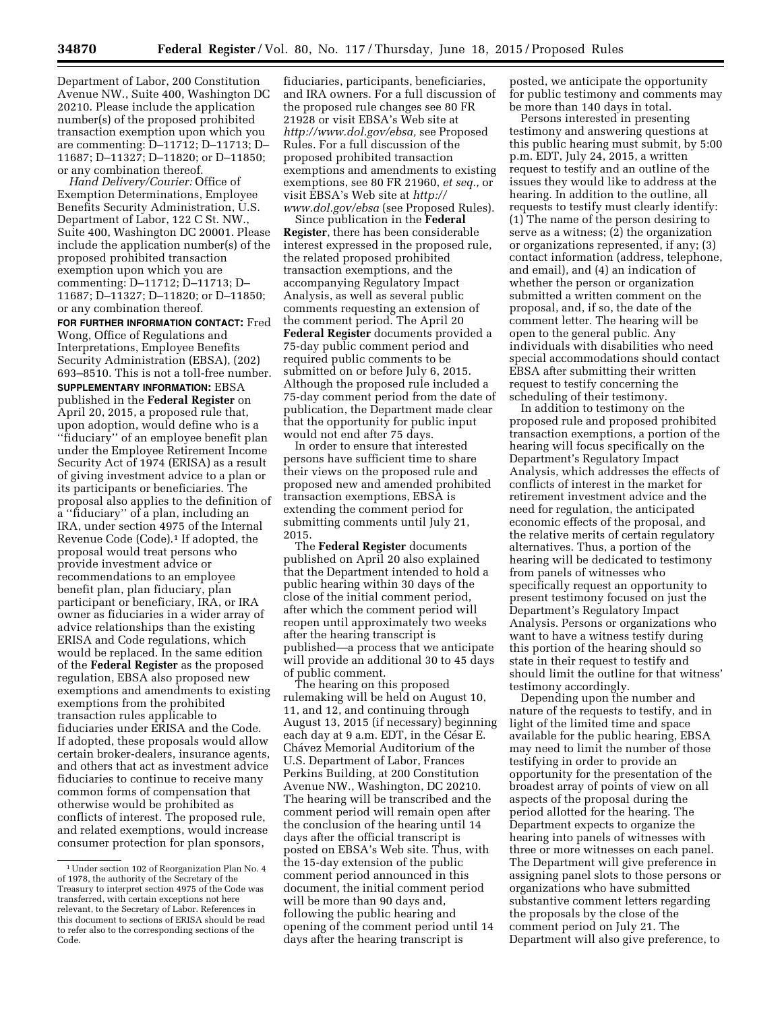Department of Labor, 200 Constitution Avenue NW., Suite 400, Washington DC 20210. Please include the application number(s) of the proposed prohibited transaction exemption upon which you are commenting: D–11712; D–11713; D– 11687; D–11327; D–11820; or D–11850; or any combination thereof.

*Hand Delivery/Courier:* Office of Exemption Determinations, Employee Benefits Security Administration, U.S. Department of Labor, 122 C St. NW., Suite 400, Washington DC 20001. Please include the application number(s) of the proposed prohibited transaction exemption upon which you are commenting: D–11712; D–11713; D– 11687; D–11327; D–11820; or D–11850; or any combination thereof.

**FOR FURTHER INFORMATION CONTACT:** Fred Wong, Office of Regulations and Interpretations, Employee Benefits Security Administration (EBSA), (202) 693–8510. This is not a toll-free number.

**SUPPLEMENTARY INFORMATION:** EBSA published in the **Federal Register** on April 20, 2015, a proposed rule that, upon adoption, would define who is a ''fiduciary'' of an employee benefit plan under the Employee Retirement Income Security Act of 1974 (ERISA) as a result of giving investment advice to a plan or its participants or beneficiaries. The proposal also applies to the definition of a ''fiduciary'' of a plan, including an IRA, under section 4975 of the Internal Revenue Code (Code).1 If adopted, the proposal would treat persons who provide investment advice or recommendations to an employee benefit plan, plan fiduciary, plan participant or beneficiary, IRA, or IRA owner as fiduciaries in a wider array of advice relationships than the existing ERISA and Code regulations, which would be replaced. In the same edition of the **Federal Register** as the proposed regulation, EBSA also proposed new exemptions and amendments to existing exemptions from the prohibited transaction rules applicable to fiduciaries under ERISA and the Code. If adopted, these proposals would allow certain broker-dealers, insurance agents, and others that act as investment advice fiduciaries to continue to receive many common forms of compensation that otherwise would be prohibited as conflicts of interest. The proposed rule, and related exemptions, would increase consumer protection for plan sponsors,

fiduciaries, participants, beneficiaries, and IRA owners. For a full discussion of the proposed rule changes see 80 FR 21928 or visit EBSA's Web site at *[http://www.dol.gov/ebsa,](http://www.dol.gov/ebsa)* see Proposed Rules. For a full discussion of the proposed prohibited transaction exemptions and amendments to existing exemptions, see 80 FR 21960, *et seq.,* or visit EBSA's Web site at *[http://](http://www.dol.gov/ebsa) [www.dol.gov/ebsa](http://www.dol.gov/ebsa)* (see Proposed Rules).

Since publication in the **Federal Register**, there has been considerable interest expressed in the proposed rule, the related proposed prohibited transaction exemptions, and the accompanying Regulatory Impact Analysis, as well as several public comments requesting an extension of the comment period. The April 20 **Federal Register** documents provided a 75-day public comment period and required public comments to be submitted on or before July 6, 2015. Although the proposed rule included a 75-day comment period from the date of publication, the Department made clear that the opportunity for public input would not end after 75 days.

In order to ensure that interested persons have sufficient time to share their views on the proposed rule and proposed new and amended prohibited transaction exemptions, EBSA is extending the comment period for submitting comments until July 21, 2015.

The **Federal Register** documents published on April 20 also explained that the Department intended to hold a public hearing within 30 days of the close of the initial comment period, after which the comment period will reopen until approximately two weeks after the hearing transcript is published—a process that we anticipate will provide an additional 30 to 45 days of public comment.

The hearing on this proposed rulemaking will be held on August 10, 11, and 12, and continuing through August 13, 2015 (if necessary) beginning each day at 9 a.m. EDT, in the César E. Chávez Memorial Auditorium of the U.S. Department of Labor, Frances Perkins Building, at 200 Constitution Avenue NW., Washington, DC 20210. The hearing will be transcribed and the comment period will remain open after the conclusion of the hearing until 14 days after the official transcript is posted on EBSA's Web site. Thus, with the 15-day extension of the public comment period announced in this document, the initial comment period will be more than 90 days and, following the public hearing and opening of the comment period until 14 days after the hearing transcript is

posted, we anticipate the opportunity for public testimony and comments may be more than 140 days in total.

Persons interested in presenting testimony and answering questions at this public hearing must submit, by 5:00 p.m. EDT, July 24, 2015, a written request to testify and an outline of the issues they would like to address at the hearing. In addition to the outline, all requests to testify must clearly identify: (1) The name of the person desiring to serve as a witness; (2) the organization or organizations represented, if any; (3) contact information (address, telephone, and email), and (4) an indication of whether the person or organization submitted a written comment on the proposal, and, if so, the date of the comment letter. The hearing will be open to the general public. Any individuals with disabilities who need special accommodations should contact EBSA after submitting their written request to testify concerning the scheduling of their testimony.

In addition to testimony on the proposed rule and proposed prohibited transaction exemptions, a portion of the hearing will focus specifically on the Department's Regulatory Impact Analysis, which addresses the effects of conflicts of interest in the market for retirement investment advice and the need for regulation, the anticipated economic effects of the proposal, and the relative merits of certain regulatory alternatives. Thus, a portion of the hearing will be dedicated to testimony from panels of witnesses who specifically request an opportunity to present testimony focused on just the Department's Regulatory Impact Analysis. Persons or organizations who want to have a witness testify during this portion of the hearing should so state in their request to testify and should limit the outline for that witness' testimony accordingly.

Depending upon the number and nature of the requests to testify, and in light of the limited time and space available for the public hearing, EBSA may need to limit the number of those testifying in order to provide an opportunity for the presentation of the broadest array of points of view on all aspects of the proposal during the period allotted for the hearing. The Department expects to organize the hearing into panels of witnesses with three or more witnesses on each panel. The Department will give preference in assigning panel slots to those persons or organizations who have submitted substantive comment letters regarding the proposals by the close of the comment period on July 21. The Department will also give preference, to

<sup>1</sup>Under section 102 of Reorganization Plan No. 4 of 1978, the authority of the Secretary of the Treasury to interpret section 4975 of the Code was transferred, with certain exceptions not here relevant, to the Secretary of Labor. References in this document to sections of ERISA should be read to refer also to the corresponding sections of the Code.